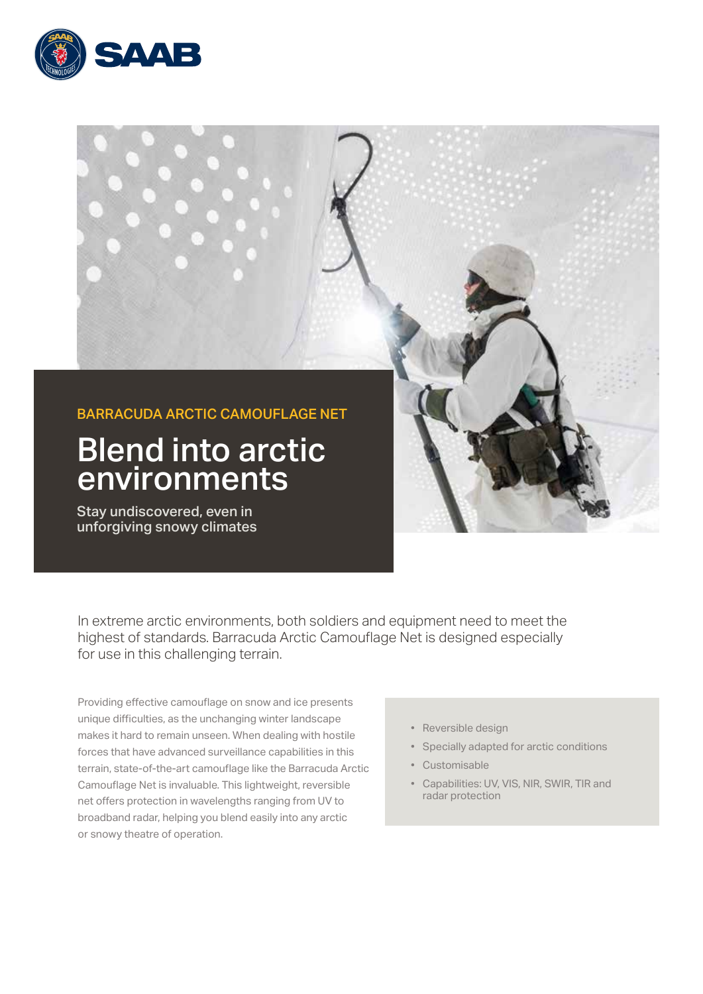



In extreme arctic environments, both soldiers and equipment need to meet the highest of standards. Barracuda Arctic Camouflage Net is designed especially for use in this challenging terrain.

Providing effective camouflage on snow and ice presents unique difficulties, as the unchanging winter landscape makes it hard to remain unseen. When dealing with hostile forces that have advanced surveillance capabilities in this terrain, state-of-the-art camouflage like the Barracuda Arctic Camouflage Net is invaluable. This lightweight, reversible net offers protection in wavelengths ranging from UV to broadband radar, helping you blend easily into any arctic or snowy theatre of operation.

- Reversible design
- Specially adapted for arctic conditions
- Customisable
- Capabilities: UV, VIS, NIR, SWIR, TIR and radar protection